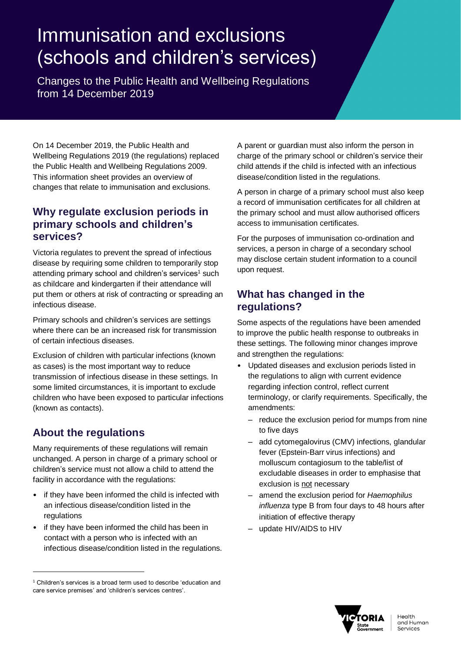# Immunisation and exclusions (schools and children's services)

Changes to the Public Health and Wellbeing Regulations from 14 December 2019

On 14 December 2019, the Public Health and Wellbeing Regulations 2019 (the regulations) replaced the Public Health and Wellbeing Regulations 2009. This information sheet provides an overview of changes that relate to immunisation and exclusions.

# **Why regulate exclusion periods in primary schools and children's services?**

Victoria regulates to prevent the spread of infectious disease by requiring some children to temporarily stop attending primary school and children's services<sup>1</sup> such as childcare and kindergarten if their attendance will put them or others at risk of contracting or spreading an infectious disease.

Primary schools and children's services are settings where there can be an increased risk for transmission of certain infectious diseases.

Exclusion of children with particular infections (known as cases) is the most important way to reduce transmission of infectious disease in these settings. In some limited circumstances, it is important to exclude children who have been exposed to particular infections (known as contacts).

# **About the regulations**

 $\overline{a}$ 

Many requirements of these regulations will remain unchanged. A person in charge of a primary school or children's service must not allow a child to attend the facility in accordance with the regulations:

- if they have been informed the child is infected with an infectious disease/condition listed in the regulations
- if they have been informed the child has been in contact with a person who is infected with an infectious disease/condition listed in the regulations.

A parent or guardian must also inform the person in charge of the primary school or children's service their child attends if the child is infected with an infectious disease/condition listed in the regulations.

A person in charge of a primary school must also keep a record of immunisation certificates for all children at the primary school and must allow authorised officers access to immunisation certificates.

For the purposes of immunisation co-ordination and services, a person in charge of a secondary school may disclose certain student information to a council upon request.

# **What has changed in the regulations?**

Some aspects of the regulations have been amended to improve the public health response to outbreaks in these settings. The following minor changes improve and strengthen the regulations:

- Updated diseases and exclusion periods listed in the regulations to align with current evidence regarding infection control, reflect current terminology, or clarify requirements. Specifically, the amendments:
	- reduce the exclusion period for mumps from nine to five days
	- add cytomegalovirus (CMV) infections, glandular fever (Epstein-Barr virus infections) and molluscum contagiosum to the table/list of excludable diseases in order to emphasise that exclusion is not necessary
	- amend the exclusion period for *Haemophilus influenza* type B from four days to 48 hours after initiation of effective therapy
	- update HIV/AIDS to HIV



<sup>&</sup>lt;sup>1</sup> Children's services is a broad term used to describe 'education and care service premises' and 'children's services centres'.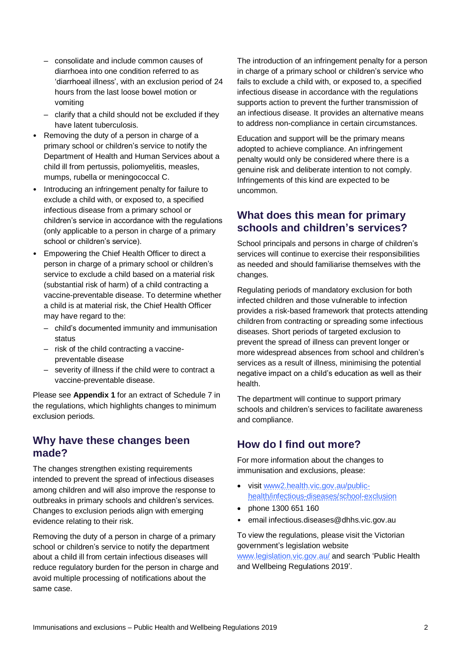- consolidate and include common causes of diarrhoea into one condition referred to as 'diarrhoeal illness', with an exclusion period of 24 hours from the last loose bowel motion or vomiting
- clarify that a child should not be excluded if they have latent tuberculosis.
- Removing the duty of a person in charge of a primary school or children's service to notify the Department of Health and Human Services about a child ill from pertussis, poliomyelitis, measles, mumps, rubella or meningococcal C.
- Introducing an infringement penalty for failure to exclude a child with, or exposed to, a specified infectious disease from a primary school or children's service in accordance with the regulations (only applicable to a person in charge of a primary school or children's service).
- Empowering the Chief Health Officer to direct a person in charge of a primary school or children's service to exclude a child based on a material risk (substantial risk of harm) of a child contracting a vaccine-preventable disease. To determine whether a child is at material risk, the Chief Health Officer may have regard to the:
	- child's documented immunity and immunisation status
	- risk of the child contracting a vaccinepreventable disease
	- severity of illness if the child were to contract a vaccine-preventable disease.

Please see **Appendix 1** for an extract of Schedule 7 in the regulations, which highlights changes to minimum exclusion periods.

#### **Why have these changes been made?**

The changes strengthen existing requirements intended to prevent the spread of infectious diseases among children and will also improve the response to outbreaks in primary schools and children's services. Changes to exclusion periods align with emerging evidence relating to their risk.

Removing the duty of a person in charge of a primary school or children's service to notify the department about a child ill from certain infectious diseases will reduce regulatory burden for the person in charge and avoid multiple processing of notifications about the same case.

The introduction of an infringement penalty for a person in charge of a primary school or children's service who fails to exclude a child with, or exposed to, a specified infectious disease in accordance with the regulations supports action to prevent the further transmission of an infectious disease. It provides an alternative means to address non-compliance in certain circumstances.

Education and support will be the primary means adopted to achieve compliance. An infringement penalty would only be considered where there is a genuine risk and deliberate intention to not comply. Infringements of this kind are expected to be uncommon.

### **What does this mean for primary schools and children's services?**

School principals and persons in charge of children's services will continue to exercise their responsibilities as needed and should familiarise themselves with the changes.

Regulating periods of mandatory exclusion for both infected children and those vulnerable to infection provides a risk-based framework that protects attending children from contracting or spreading some infectious diseases. Short periods of targeted exclusion to prevent the spread of illness can prevent longer or more widespread absences from school and children's services as a result of illness, minimising the potential negative impact on a child's education as well as their health.

The department will continue to support primary schools and children's services to facilitate awareness and compliance.

## **How do I find out more?**

For more information about the changes to immunisation and exclusions, please:

- visit [www2.health.vic.gov.au/public](https://www2.health.vic.gov.au/public-health/infectious-diseases/school-exclusion)[health/infectious-diseases/school-exclusion](https://www2.health.vic.gov.au/public-health/infectious-diseases/school-exclusion)
- phone 1300 651 160
- email infectious.diseases@dhhs.vic.gov.au

To view the regulations, please visit the Victorian government's legislation website [www.legislation.vic.gov.au/](http://www.legislation.vic.gov.au/) and search 'Public Health and Wellbeing Regulations 2019'.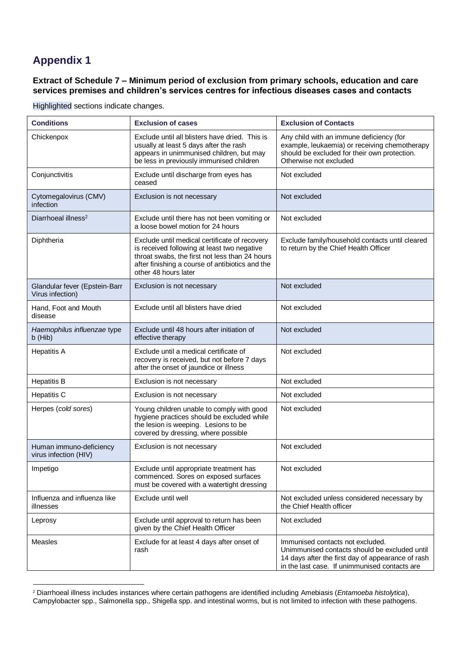# **Appendix 1**

 $\overline{a}$ 

**Extract of Schedule 7 – Minimum period of exclusion from primary schools, education and care services premises and children's services centres for infectious diseases cases and contacts**

| <b>Conditions</b>                                 | <b>Exclusion of cases</b>                                                                                                                                                                                                 | <b>Exclusion of Contacts</b>                                                                                                                                                            |
|---------------------------------------------------|---------------------------------------------------------------------------------------------------------------------------------------------------------------------------------------------------------------------------|-----------------------------------------------------------------------------------------------------------------------------------------------------------------------------------------|
| Chickenpox                                        | Exclude until all blisters have dried. This is<br>usually at least 5 days after the rash<br>appears in unimmunised children, but may<br>be less in previously immunised children                                          | Any child with an immune deficiency (for<br>example, leukaemia) or receiving chemotherapy<br>should be excluded for their own protection.<br>Otherwise not excluded                     |
| Conjunctivitis                                    | Exclude until discharge from eyes has<br>ceased                                                                                                                                                                           | Not excluded                                                                                                                                                                            |
| Cytomegalovirus (CMV)<br>infection                | Exclusion is not necessary                                                                                                                                                                                                | Not excluded                                                                                                                                                                            |
| Diarrhoeal illness <sup>2</sup>                   | Exclude until there has not been vomiting or<br>a loose bowel motion for 24 hours                                                                                                                                         | Not excluded                                                                                                                                                                            |
| Diphtheria                                        | Exclude until medical certificate of recovery<br>is received following at least two negative<br>throat swabs, the first not less than 24 hours<br>after finishing a course of antibiotics and the<br>other 48 hours later | Exclude family/household contacts until cleared<br>to return by the Chief Health Officer                                                                                                |
| Glandular fever (Epstein-Barr<br>Virus infection) | Exclusion is not necessary                                                                                                                                                                                                | Not excluded                                                                                                                                                                            |
| Hand, Foot and Mouth<br>disease                   | Exclude until all blisters have dried                                                                                                                                                                                     | Not excluded                                                                                                                                                                            |
| Haemophilus influenzae type<br>$b$ (Hib)          | Exclude until 48 hours after initiation of<br>effective therapy                                                                                                                                                           | Not excluded                                                                                                                                                                            |
| <b>Hepatitis A</b>                                | Exclude until a medical certificate of<br>recovery is received, but not before 7 days<br>after the onset of jaundice or illness                                                                                           | Not excluded                                                                                                                                                                            |
| <b>Hepatitis B</b>                                | Exclusion is not necessary                                                                                                                                                                                                | Not excluded                                                                                                                                                                            |
| <b>Hepatitis C</b>                                | Exclusion is not necessary                                                                                                                                                                                                | Not excluded                                                                                                                                                                            |
| Herpes (cold sores)                               | Young children unable to comply with good<br>hygiene practices should be excluded while<br>the lesion is weeping. Lesions to be<br>covered by dressing, where possible                                                    | Not excluded                                                                                                                                                                            |
| Human immuno-deficiency<br>virus infection (HIV)  | Exclusion is not necessary                                                                                                                                                                                                | Not excluded                                                                                                                                                                            |
| Impetigo                                          | Exclude until appropriate treatment has<br>commenced. Sores on exposed surfaces<br>must be covered with a watertight dressing                                                                                             | Not excluded                                                                                                                                                                            |
| Influenza and influenza like<br>illnesses         | Exclude until well                                                                                                                                                                                                        | Not excluded unless considered necessary by<br>the Chief Health officer                                                                                                                 |
| Leprosy                                           | Exclude until approval to return has been<br>given by the Chief Health Officer                                                                                                                                            | Not excluded                                                                                                                                                                            |
| <b>Measles</b>                                    | Exclude for at least 4 days after onset of<br>rash                                                                                                                                                                        | Immunised contacts not excluded.<br>Unimmunised contacts should be excluded until<br>14 days after the first day of appearance of rash<br>in the last case. If unimmunised contacts are |

Highlighted sections indicate changes.

<sup>2</sup> Diarrhoeal illness includes instances where certain pathogens are identified including Amebiasis (*Entamoeba histolytica*), Campylobacter spp., Salmonella spp., Shigella spp. and intestinal worms, but is not limited to infection with these pathogens.